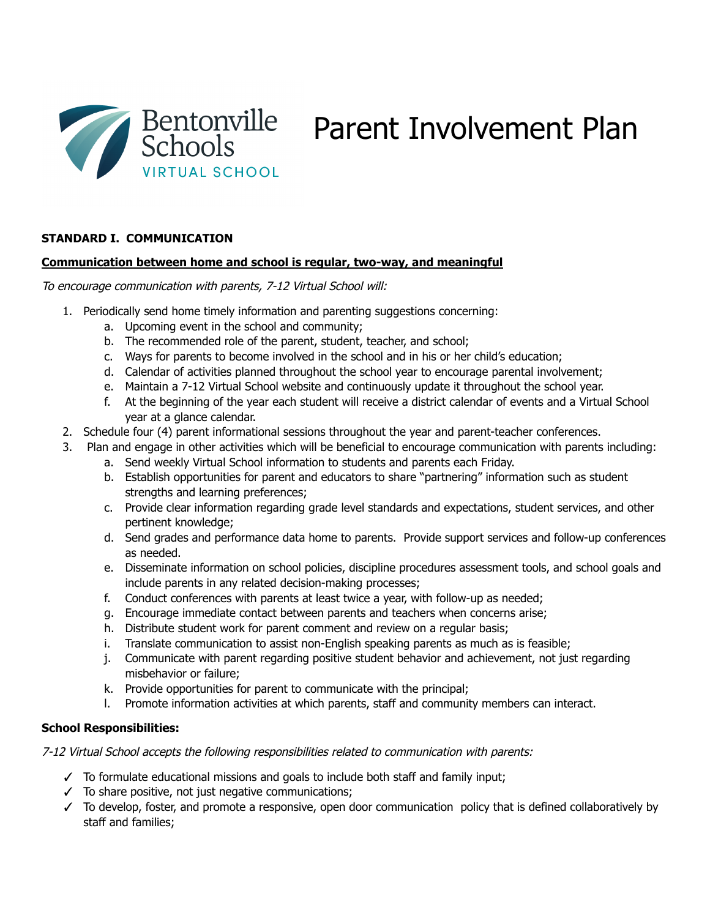

# **STANDARD I. COMMUNICATION**

## **Communication between home and school is regular, two-way, and meaningful**

To encourage communication with parents, 7-12 Virtual School will:

- 1. Periodically send home timely information and parenting suggestions concerning:
	- a. Upcoming event in the school and community;
	- b. The recommended role of the parent, student, teacher, and school;
	- c. Ways for parents to become involved in the school and in his or her child's education;
	- d. Calendar of activities planned throughout the school year to encourage parental involvement;
	- e. Maintain a 7-12 Virtual School website and continuously update it throughout the school year.
	- f. At the beginning of the year each student will receive a district calendar of events and a Virtual School year at a glance calendar.
- 2. Schedule four (4) parent informational sessions throughout the year and parent-teacher conferences.
- 3. Plan and engage in other activities which will be beneficial to encourage communication with parents including:
	- a. Send weekly Virtual School information to students and parents each Friday.
	- b. Establish opportunities for parent and educators to share "partnering" information such as student strengths and learning preferences;
	- c. Provide clear information regarding grade level standards and expectations, student services, and other pertinent knowledge;
	- d. Send grades and performance data home to parents. Provide support services and follow-up conferences as needed.
	- e. Disseminate information on school policies, discipline procedures assessment tools, and school goals and include parents in any related decision-making processes;
	- f. Conduct conferences with parents at least twice a year, with follow-up as needed;
	- g. Encourage immediate contact between parents and teachers when concerns arise;
	- h. Distribute student work for parent comment and review on a regular basis;
	- i. Translate communication to assist non-English speaking parents as much as is feasible;
	- j. Communicate with parent regarding positive student behavior and achievement, not just regarding misbehavior or failure;
	- k. Provide opportunities for parent to communicate with the principal;
	- l. Promote information activities at which parents, staff and community members can interact.

# **School Responsibilities:**

7-12 Virtual School accepts the following responsibilities related to communication with parents:

- $\checkmark$  To formulate educational missions and goals to include both staff and family input;
- $\checkmark$  To share positive, not just negative communications;
- ✓ To develop, foster, and promote a responsive, open door communication policy that is defined collaboratively by staff and families;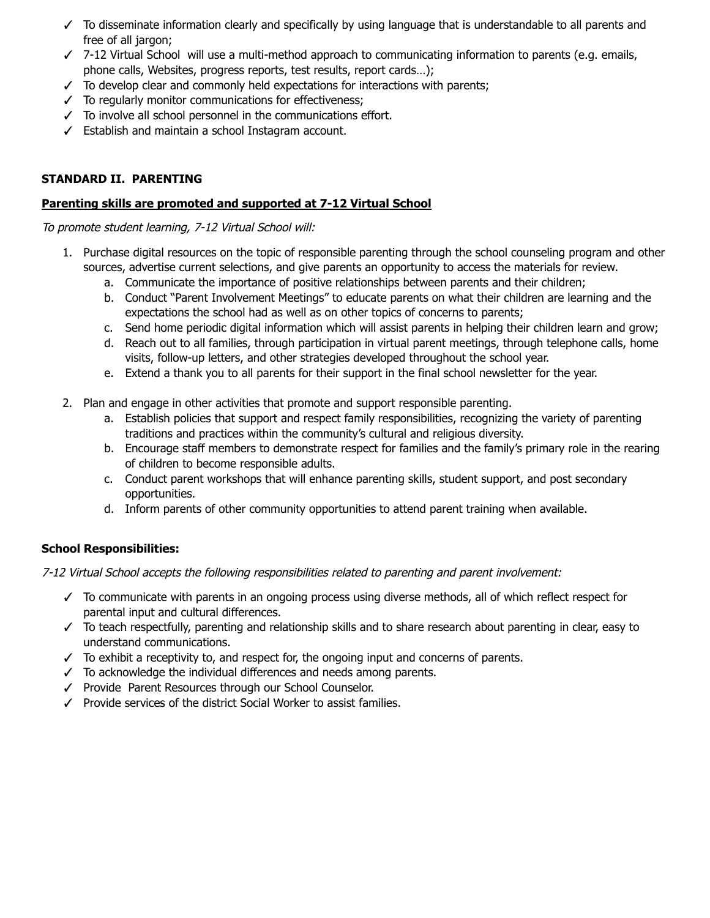- ✓ To disseminate information clearly and specifically by using language that is understandable to all parents and free of all jargon;
- ✓ 7-12 Virtual School will use a multi-method approach to communicating information to parents (e.g. emails, phone calls, Websites, progress reports, test results, report cards…);
- ✓ To develop clear and commonly held expectations for interactions with parents;
- ✓ To regularly monitor communications for effectiveness;
- ✓ To involve all school personnel in the communications effort.
- ✓ Establish and maintain a school Instagram account.

# **STANDARD II. PARENTING**

## **Parenting skills are promoted and supported at 7-12 Virtual School**

To promote student learning, 7-12 Virtual School will:

- 1. Purchase digital resources on the topic of responsible parenting through the school counseling program and other sources, advertise current selections, and give parents an opportunity to access the materials for review.
	- a. Communicate the importance of positive relationships between parents and their children;
	- b. Conduct "Parent Involvement Meetings" to educate parents on what their children are learning and the expectations the school had as well as on other topics of concerns to parents;
	- c. Send home periodic digital information which will assist parents in helping their children learn and grow;
	- d. Reach out to all families, through participation in virtual parent meetings, through telephone calls, home visits, follow-up letters, and other strategies developed throughout the school year.
	- e. Extend a thank you to all parents for their support in the final school newsletter for the year.
- 2. Plan and engage in other activities that promote and support responsible parenting.
	- a. Establish policies that support and respect family responsibilities, recognizing the variety of parenting traditions and practices within the community's cultural and religious diversity.
	- b. Encourage staff members to demonstrate respect for families and the family's primary role in the rearing of children to become responsible adults.
	- c. Conduct parent workshops that will enhance parenting skills, student support, and post secondary opportunities.
	- d. Inform parents of other community opportunities to attend parent training when available.

# **School Responsibilities:**

7-12 Virtual School accepts the following responsibilities related to parenting and parent involvement:

- ✓ To communicate with parents in an ongoing process using diverse methods, all of which reflect respect for parental input and cultural differences.
- ✓ To teach respectfully, parenting and relationship skills and to share research about parenting in clear, easy to understand communications.
- ✓ To exhibit a receptivity to, and respect for, the ongoing input and concerns of parents.
- $\checkmark$  To acknowledge the individual differences and needs among parents.
- ✓ Provide Parent Resources through our School Counselor.
- ✓ Provide services of the district Social Worker to assist families.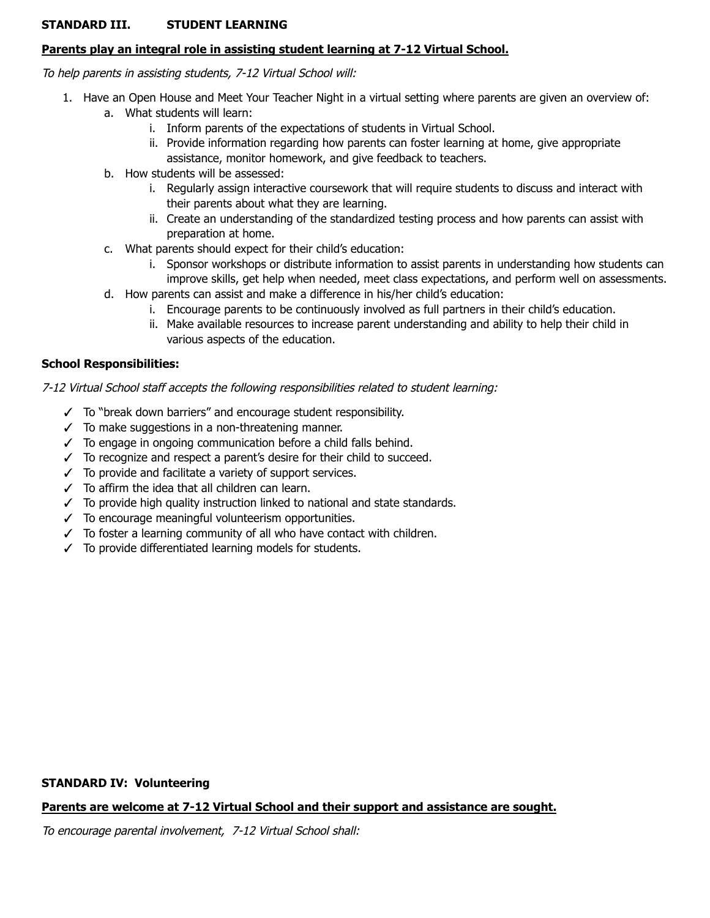# **STANDARD III. STUDENT LEARNING**

## **Parents play an integral role in assisting student learning at 7-12 Virtual School.**

To help parents in assisting students, 7-12 Virtual School will:

- 1. Have an Open House and Meet Your Teacher Night in a virtual setting where parents are given an overview of: a. What students will learn:
	- i. Inform parents of the expectations of students in Virtual School.
	- ii. Provide information regarding how parents can foster learning at home, give appropriate assistance, monitor homework, and give feedback to teachers.
	- b. How students will be assessed:
		- i. Regularly assign interactive coursework that will require students to discuss and interact with their parents about what they are learning.
		- ii. Create an understanding of the standardized testing process and how parents can assist with preparation at home.
	- c. What parents should expect for their child's education:
		- i. Sponsor workshops or distribute information to assist parents in understanding how students can improve skills, get help when needed, meet class expectations, and perform well on assessments.
	- d. How parents can assist and make a difference in his/her child's education:
		- i. Encourage parents to be continuously involved as full partners in their child's education.
		- ii. Make available resources to increase parent understanding and ability to help their child in various aspects of the education.

## **School Responsibilities:**

### 7-12 Virtual School staff accepts the following responsibilities related to student learning:

- ✓ To "break down barriers" and encourage student responsibility.
- $\checkmark$  To make suggestions in a non-threatening manner.
- $\checkmark$  To engage in ongoing communication before a child falls behind.
- ✓ To recognize and respect a parent's desire for their child to succeed.
- ✓ To provide and facilitate a variety of support services.
- ✓ To affirm the idea that all children can learn.
- ✓ To provide high quality instruction linked to national and state standards.
- ✓ To encourage meaningful volunteerism opportunities.
- ✓ To foster a learning community of all who have contact with children.
- ✓ To provide differentiated learning models for students.

### **STANDARD IV: Volunteering**

## **Parents are welcome at 7-12 Virtual School and their support and assistance are sought.**

To encourage parental involvement, 7-12 Virtual School shall: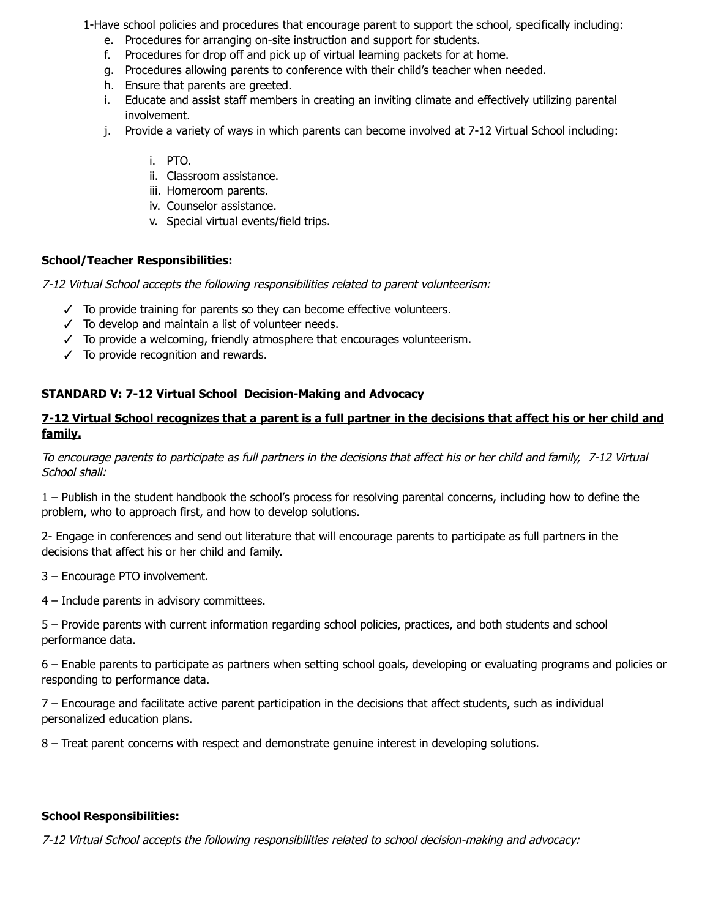1-Have school policies and procedures that encourage parent to support the school, specifically including:

- e. Procedures for arranging on-site instruction and support for students.
- f. Procedures for drop off and pick up of virtual learning packets for at home.
- g. Procedures allowing parents to conference with their child's teacher when needed.
- h. Ensure that parents are greeted.
- i. Educate and assist staff members in creating an inviting climate and effectively utilizing parental involvement.
- j. Provide a variety of ways in which parents can become involved at 7-12 Virtual School including:

## i. PTO.

- ii. Classroom assistance.
- iii. Homeroom parents.
- iv. Counselor assistance.
- v. Special virtual events/field trips.

# **School/Teacher Responsibilities:**

7-12 Virtual School accepts the following responsibilities related to parent volunteerism:

- ✓ To provide training for parents so they can become effective volunteers.
- ✓ To develop and maintain a list of volunteer needs.
- $\checkmark$  To provide a welcoming, friendly atmosphere that encourages volunteerism.
- ✓ To provide recognition and rewards.

## **STANDARD V: 7-12 Virtual School Decision-Making and Advocacy**

# 7-12 Virtual School recognizes that a parent is a full partner in the decisions that affect his or her child and **family.**

To encourage parents to participate as full partners in the decisions that affect his or her child and family, 7-12 Virtual School shall:

1 – Publish in the student handbook the school's process for resolving parental concerns, including how to define the problem, who to approach first, and how to develop solutions.

2- Engage in conferences and send out literature that will encourage parents to participate as full partners in the decisions that affect his or her child and family.

- 3 Encourage PTO involvement.
- 4 Include parents in advisory committees.

5 – Provide parents with current information regarding school policies, practices, and both students and school performance data.

6 – Enable parents to participate as partners when setting school goals, developing or evaluating programs and policies or responding to performance data.

7 – Encourage and facilitate active parent participation in the decisions that affect students, such as individual personalized education plans.

8 – Treat parent concerns with respect and demonstrate genuine interest in developing solutions.

## **School Responsibilities:**

7-12 Virtual School accepts the following responsibilities related to school decision-making and advocacy: